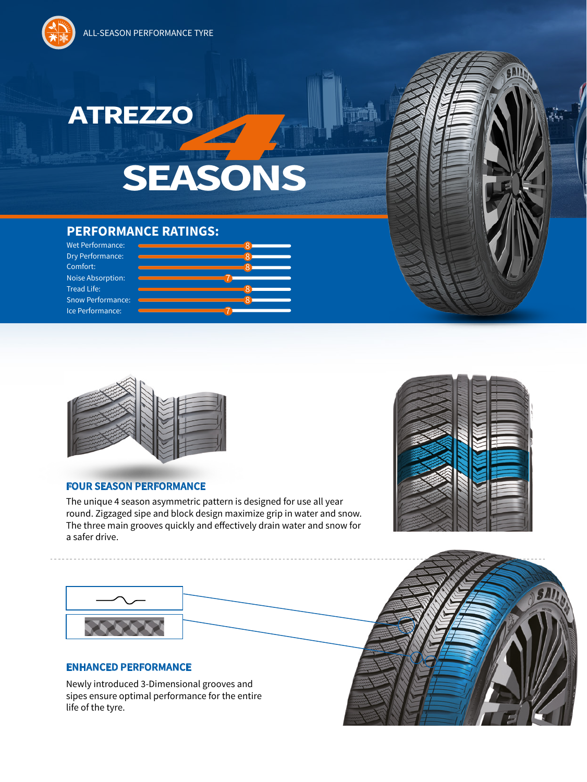ALL-SEASON PERFORMANCE TYRE



## **SEASONS** ATREZZO **de la provincia de la provincia de la provincia de la provincia de la provincia de la provincia de la provincia de la provincia de la provincia de la provincia de la provincia de la provincia de la provincia de la**

## **PERFORMANCE RATINGS:**





## **FOUR SEASON PERFORMANCE**

The unique 4 season asymmetric pattern is designed for use all year round. Zigzaged sipe and block design maximize grip in water and snow. The three main grooves quickly and effectively drain water and snow for a safer drive.





Newly introduced 3-Dimensional grooves and sipes ensure optimal performance for the entire life of the tyre.